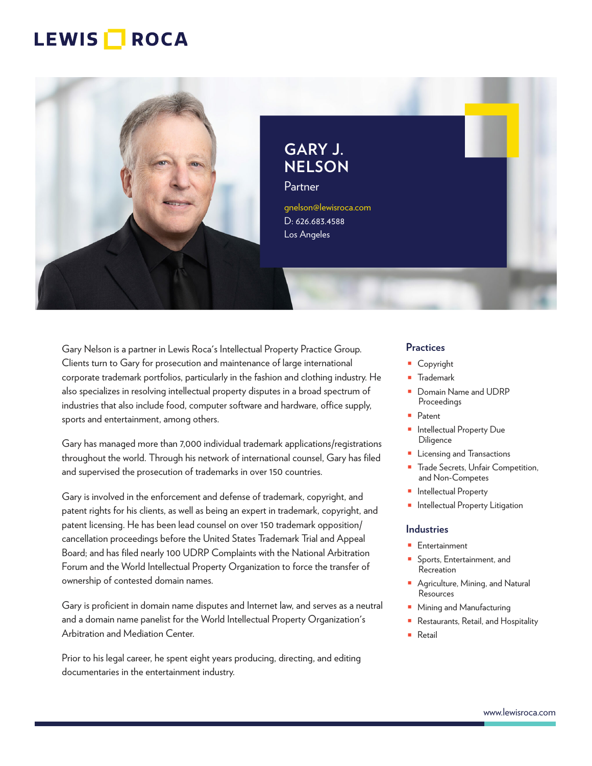

Partner gnelson@lewisroca.com D: 626.683.4588

Los Angeles

**GARY J. NELSON**

Gary Nelson is a partner in Lewis Roca's Intellectual Property Practice Group. Clients turn to Gary for prosecution and maintenance of large international corporate trademark portfolios, particularly in the fashion and clothing industry. He also specializes in resolving intellectual property disputes in a broad spectrum of industries that also include food, computer software and hardware, office supply, sports and entertainment, among others.

Gary has managed more than 7,000 individual trademark applications/registrations throughout the world. Through his network of international counsel, Gary has filed and supervised the prosecution of trademarks in over 150 countries.

Gary is involved in the enforcement and defense of trademark, copyright, and patent rights for his clients, as well as being an expert in trademark, copyright, and patent licensing. He has been lead counsel on over 150 trademark opposition/ cancellation proceedings before the United States Trademark Trial and Appeal Board; and has filed nearly 100 UDRP Complaints with the National Arbitration Forum and the World Intellectual Property Organization to force the transfer of ownership of contested domain names.

Gary is proficient in domain name disputes and Internet law, and serves as a neutral and a domain name panelist for the World Intellectual Property Organization's Arbitration and Mediation Center.

Prior to his legal career, he spent eight years producing, directing, and editing documentaries in the entertainment industry.

#### **Practices**

- Copyright
- Trademark
- Domain Name and UDRP Proceedings
- Patent
- Intellectual Property Due **Diligence**
- Licensing and Transactions
- Trade Secrets, Unfair Competition, and Non-Competes
- Intellectual Property
- Intellectual Property Litigation

#### **Industries**

- Entertainment
- Sports, Entertainment, and Recreation
- Agriculture, Mining, and Natural Resources
- Mining and Manufacturing
- Restaurants, Retail, and Hospitality
- Retail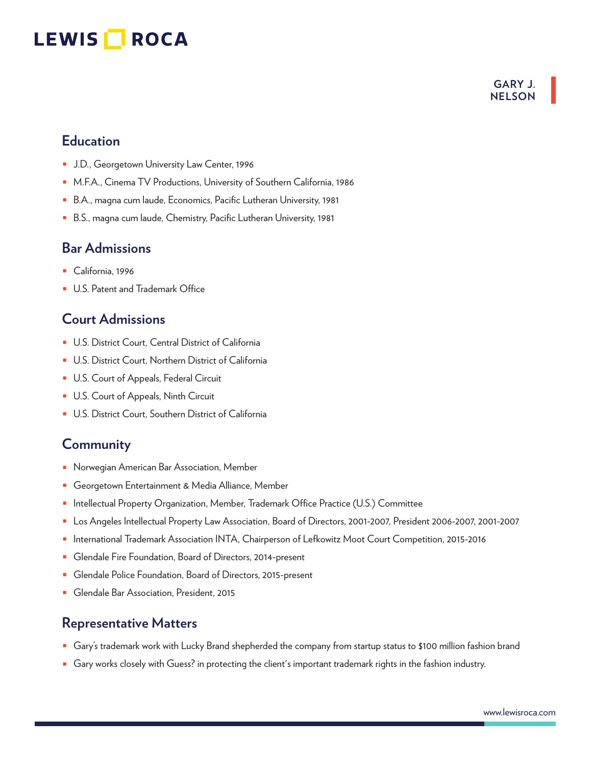#### **GARY J. NELSON**

### **Education**

- J.D., Georgetown University Law Center, 1996
- M.F.A., Cinema TV Productions, University of Southern California, 1986
- B.A., magna cum laude, Economics, Pacific Lutheran University, 1981
- B.S., magna cum laude, Chemistry, Pacific Lutheran University, 1981

#### **Bar Admissions**

- California, 1996
- U.S. Patent and Trademark Office

### **Court Admissions**

- U.S. District Court, Central District of California
- U.S. District Court, Northern District of California
- U.S. Court of Appeals, Federal Circuit
- U.S. Court of Appeals, Ninth Circuit
- U.S. District Court, Southern District of California

### **Community**

- Norwegian American Bar Association, Member
- Georgetown Entertainment & Media Alliance, Member
- Intellectual Property Organization, Member, Trademark Office Practice (U.S.) Committee
- Los Angeles Intellectual Property Law Association, Board of Directors, 2001-2007, President 2006-2007, 2001-2007
- International Trademark Association INTA, Chairperson of Lefkowitz Moot Court Competition, 2015-2016
- Glendale Fire Foundation, Board of Directors, 2014-present
- Glendale Police Foundation, Board of Directors, 2015-present
- Glendale Bar Association, President, 2015

#### **Representative Matters**

- Gary's trademark work with Lucky Brand shepherded the company from startup status to \$100 million fashion brand
- Gary works closely with Guess? in protecting the client's important trademark rights in the fashion industry.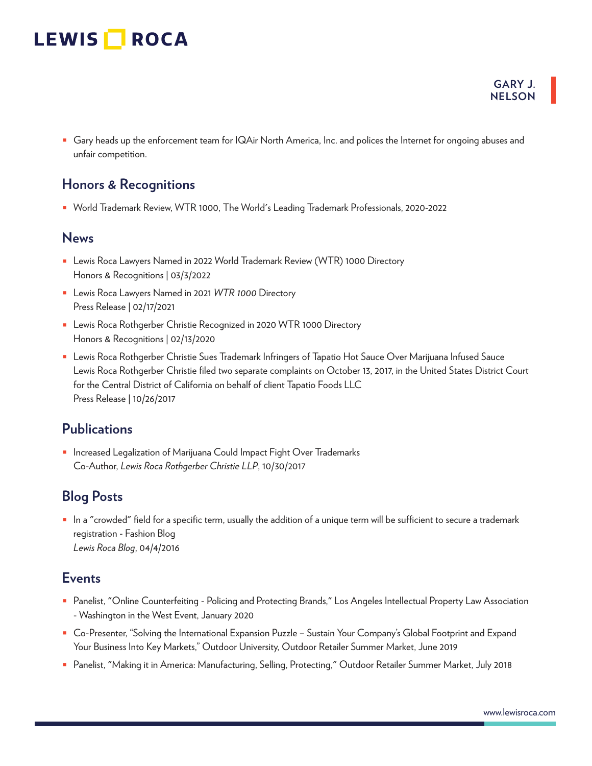■ Gary heads up the enforcement team for IQAir North America, Inc. and polices the Internet for ongoing abuses and unfair competition.

#### **Honors & Recognitions**

■ World Trademark Review, WTR 1000, The World's Leading Trademark Professionals, 2020-2022

#### **News**

- Lewis Roca Lawyers Named in 2022 World Trademark Review (WTR) 1000 Directory Honors & Recognitions | 03/3/2022
- Lewis Roca Lawyers Named in 2021 WTR 1000 Directory Press Release | 02/17/2021
- Lewis Roca Rothgerber Christie Recognized in 2020 WTR 1000 Directory Honors & Recognitions | 02/13/2020
- Lewis Roca Rothgerber Christie Sues Trademark Infringers of Tapatio Hot Sauce Over Marijuana Infused Sauce Lewis Roca Rothgerber Christie filed two separate complaints on October 13, 2017, in the United States District Court for the Central District of California on behalf of client Tapatio Foods LLC Press Release | 10/26/2017

### **Publications**

■ Increased Legalization of Marijuana Could Impact Fight Over Trademarks Co-Author, *Lewis Roca Rothgerber Christie LLP*, 10/30/2017

### **Blog Posts**

■ In a "crowded" field for a specific term, usually the addition of a unique term will be sufficient to secure a trademark registration - Fashion Blog *Lewis Roca Blog*, 04/4/2016

### **Events**

- Panelist, "Online Counterfeiting Policing and Protecting Brands," Los Angeles Intellectual Property Law Association - Washington in the West Event, January 2020
- Co-Presenter, "Solving the International Expansion Puzzle Sustain Your Company's Global Footprint and Expand Your Business Into Key Markets," Outdoor University, Outdoor Retailer Summer Market, June 2019
- Panelist, "Making it in America: Manufacturing, Selling, Protecting," Outdoor Retailer Summer Market, July 2018

**GARY J. NELSON**